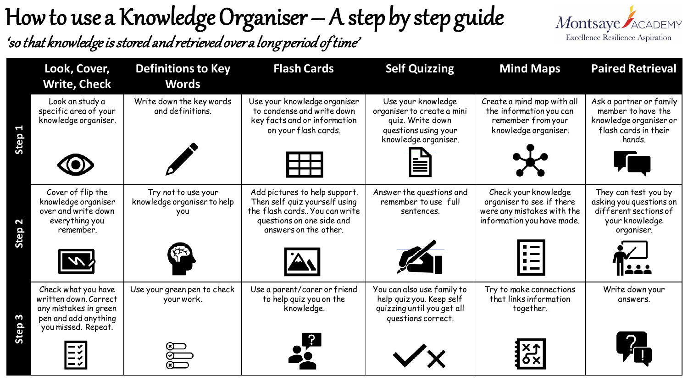## How to use a Knowledge Organiser – A step by step guide

'so that knowledge is stored and retrieved over a long period of time'



|         | Look, Cover,<br><b>Write, Check</b>                                                                                  | <b>Definitions to Key</b><br><b>Words</b>                 | <b>Flash Cards</b>                                                                                                                                    | <b>Self Quizzing</b>                                                                                                 | <b>Mind Maps</b>                                                                                               | <b>Paired Retrieval</b>                                                                                   |
|---------|----------------------------------------------------------------------------------------------------------------------|-----------------------------------------------------------|-------------------------------------------------------------------------------------------------------------------------------------------------------|----------------------------------------------------------------------------------------------------------------------|----------------------------------------------------------------------------------------------------------------|-----------------------------------------------------------------------------------------------------------|
| 5       | Look an study a<br>specific area of your<br>knowledge organiser.                                                     | Write down the key words<br>and definitions.              | Use your knowledge organiser<br>to condense and write down<br>key facts and or information<br>on your flash cards.                                    | Use your knowledge<br>organiser to create a mini<br>quiz. Write down<br>questions using your<br>knowledge organiser. | Create a mind map with all<br>the information you can<br>remember from your<br>knowledge organiser.<br>$\star$ | Ask a partner or family<br>member to have the<br>knowledge organiser or<br>flash cards in their<br>hands. |
| 5       | Cover of flip the<br>knowledge organiser<br>over and write down<br>everything you<br>remember.                       | Try not to use your<br>knowledge organiser to help<br>you | Add pictures to help support.<br>Then self quiz yourself using<br>the flash cards You can write<br>questions on one side and<br>answers on the other. | Answer the questions and<br>remember to use full<br>sentences.                                                       | Check your knowledge<br>organiser to see if there<br>were any mistakes with the<br>information you have made.  | They can test you by<br>asking you questions on<br>different sections of<br>your knowledge<br>organiser.  |
|         |                                                                                                                      |                                                           |                                                                                                                                                       | $\mathbb{Z}_{\mathbb{T}}$                                                                                            | $\blacksquare$<br>$\mathbf{I}$                                                                                 |                                                                                                           |
| O)<br>5 | Check what you have<br>written down. Correct<br>any mistakes in green<br>pen and add anything<br>you missed. Repeat. | Use your green pen to check<br>your work.                 | Use a parent/carer or friend<br>to help quiz you on the<br>knowledge.                                                                                 | You can also use family to<br>help quiz you. Keep self<br>quizzing until you get all<br>questions correct.           | Try to make connections<br>that links information<br>together.                                                 | Write down your<br>answers.                                                                               |
|         |                                                                                                                      |                                                           | <b>PO</b>                                                                                                                                             |                                                                                                                      | $\frac{x_1}{x_0}$                                                                                              |                                                                                                           |